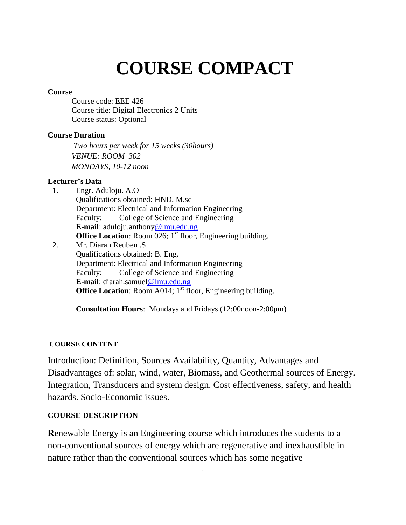# **COURSE COMPACT**

#### **Course**

Course code: EEE 426 Course title: Digital Electronics 2 Units Course status: Optional

#### **Course Duration**

*Two hours per week for 15 weeks (30hours) VENUE: ROOM 302 MONDAYS, 10-12 noon*

#### **Lecturer's Data**

- 1. Engr. Aduloju. A.O Qualifications obtained: HND, M.sc Department: Electrical and Information Engineering Faculty: College of Science and Engineering **E-mail**: aduloju.anthony@lmu.edu.ng **Office Location:** Room 026; 1<sup>st</sup> floor, Engineering building.
- 2. Mr. Diarah Reuben .S Qualifications obtained: B. Eng. Department: Electrical and Information Engineering Faculty: College of Science and Engineering **E-mail**: diarah.samuel@lmu.edu.ng **Office Location:** Room A014; 1<sup>st</sup> floor, Engineering building.

**Consultation Hours**: Mondays and Fridays (12:00noon-2:00pm)

#### **COURSE CONTENT**

Introduction: Definition, Sources Availability, Quantity, Advantages and Disadvantages of: solar, wind, water, Biomass, and Geothermal sources of Energy. Integration, Transducers and system design. Cost effectiveness, safety, and health hazards. Socio-Economic issues.

#### **COURSE DESCRIPTION**

**R**enewable Energy is an Engineering course which introduces the students to a non-conventional sources of energy which are regenerative and inexhaustible in nature rather than the conventional sources which has some negative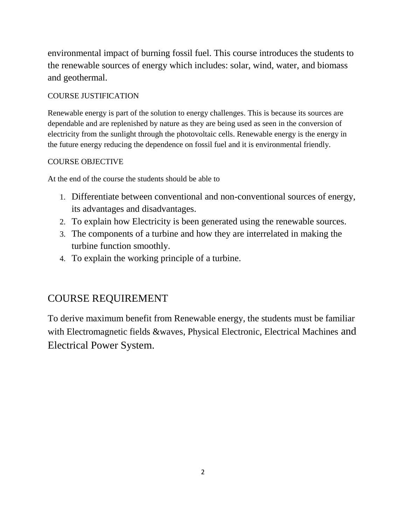environmental impact of burning fossil fuel. This course introduces the students to the renewable sources of energy which includes: solar, wind, water, and biomass and geothermal.

#### COURSE JUSTIFICATION

Renewable energy is part of the solution to energy challenges. This is because its sources are dependable and are replenished by nature as they are being used as seen in the conversion of electricity from the sunlight through the photovoltaic cells. Renewable energy is the energy in the future energy reducing the dependence on fossil fuel and it is environmental friendly.

#### COURSE OBJECTIVE

At the end of the course the students should be able to

- 1. Differentiate between conventional and non-conventional sources of energy, its advantages and disadvantages.
- 2. To explain how Electricity is been generated using the renewable sources.
- 3. The components of a turbine and how they are interrelated in making the turbine function smoothly.
- 4. To explain the working principle of a turbine.

### COURSE REQUIREMENT

To derive maximum benefit from Renewable energy, the students must be familiar with Electromagnetic fields &waves, Physical Electronic, Electrical Machines and Electrical Power System.